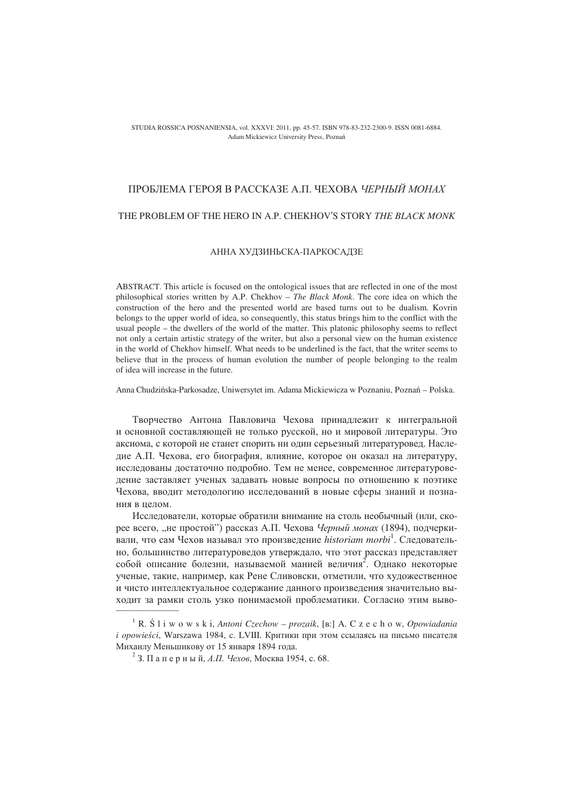#### STUDIA ROSSICA POSNANIENSIA, vol. XXXVI: 2011, pp. 45-57. ISBN 978-83-232-2300-9. ISSN 0081-6884. Adam Mickiewicz University Press, Pozna

# ПРОБЛЕМА ГЕРОЯ В РАССКАЗЕ А.П. ЧЕХОВА *ЧЕРНЫЙ МОНАХ*

## THE PROBLEM OF THE HERO IN A.P. CHEKHOV'S STORY *THE BLACK MONK*

### АННА ХУДЗИНЬСКА-ПАРКОСАДЗЕ

ABSTRACT. This article is focused on the ontological issues that are reflected in one of the most philosophical stories written by A.P. Chekhov – *The Black Monk*. The core idea on which the construction of the hero and the presented world are based turns out to be dualism. Kovrin belongs to the upper world of idea, so consequently, this status brings him to the conflict with the usual people – the dwellers of the world of the matter. This platonic philosophy seems to reflect not only a certain artistic strategy of the writer, but also a personal view on the human existence in the world of Chekhov himself. What needs to be underlined is the fact, that the writer seems to believe that in the process of human evolution the number of people belonging to the realm of idea will increase in the future.

Anna Chudzińska-Parkosadze, Uniwersytet im. Adama Mickiewicza w Poznaniu, Poznań – Polska.

Творчество Антона Павловича Чехова принадлежит к интегральной и основной составляющей не только русской, но и мировой литературы. Это аксиома, с которой не станет спорить ни один серьезный литературовед. Наследие А.П. Чехова, его биография, влияние, которое он оказал на литературу, исследованы достаточно подробно. Тем не менее, современное литературоведение заставляет ученых задавать новые вопросы по отношению к поэтике Чехова, вводит методологию исследований в новые сферы знаний и познания в пелом.

Исследователи, которые обратили внимание на столь необычный (или, скорее всего, "не простой") рассказ А.П. Чехова *Черный монах* (1894), подчеркивали, что сам Чехов называл это произведение historiam morbi<sup>1</sup>. Следовательно, большинство литературоведов утверждало, что этот рассказ представляет собой описание болезни, называемой манией величия<sup>2</sup>. Однако некоторые ученые, такие, например, как Рене Сливовски, отметили, что художественное и чисто интеллектуальное содержание данного произведения значительно выхолит за рамки столь узко понимаемой проблематики. Согласно этим выво- $\frac{1}{\sqrt{2}}$ 

<sup>&</sup>lt;sup>1</sup> R. Ś l i w o w s k i, *Antoni Czechow – prozaik*, [B:] A. C z e c h o w, *Opowiadania i opowieści*, Warszawa 1984, c. LVIII. Критики при этом ссылаясь на письмо писателя Михаилу Меньшикову от 15 января 1894 года.

 $^{2}$  3. Паперный, *А.П. Чехов*, Москва 1954, с. 68.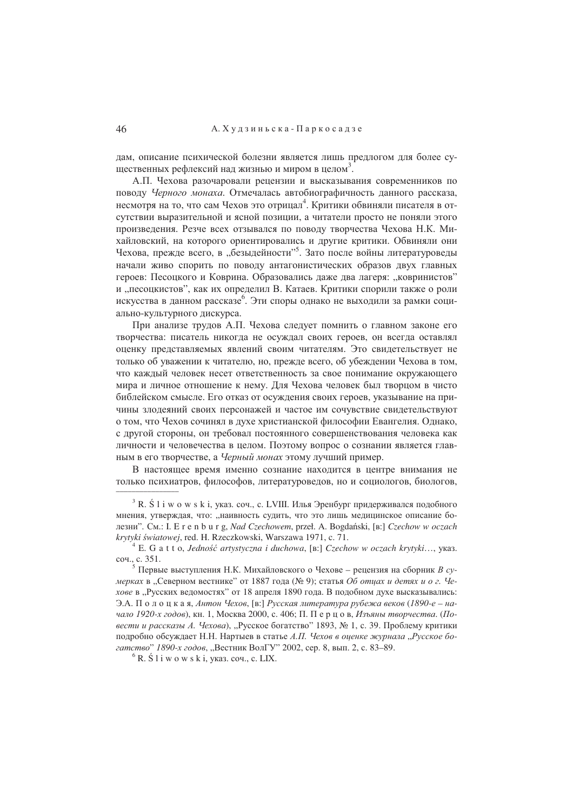дам, описание психической болезни является лишь предлогом для более существенных рефлексий над жизнью и миром в целом<sup>3</sup>.

А.П. Чехова разочаровали рецензии и высказывания современников по поводу Черного монаха. Отмечалась автобиографичность данного рассказа, несмотря на то, что сам Чехов это отрицал<sup>4</sup>. Критики обвиняли писателя в отсутствии выразительной и ясной позиции, а читатели просто не поняли этого произведения. Резче всех отзывался по поводу творчества Чехова Н.К. Михайловский, на которого ориентировались и другие критики. Обвиняли они Чехова, прежде всего, в "безыдейности"<sup>5</sup>. Зато после войны литературоведы начали живо спорить по поводу антагонистических образов двух главных героев: Песоцкого и Коврина. Образовались даже два лагеря: "ковринистов" и "песоцкистов", как их определил В. Катаев. Критики спорили также о роли искусства в данном рассказе<sup>6</sup>. Эти споры однако не выходили за рамки социально-культурного дискурса.

При анализе трудов А.П. Чехова следует помнить о главном законе его творчества: писатель никогда не осуждал своих героев, он всегда оставлял оценку представляемых явлений своим читателям. Это свидетельствует не только об уважении к читателю, но, прежде всего, об убеждении Чехова в том, что каждый человек несет ответственность за свое понимание окружающего мира и личное отношение к нему. Для Чехова человек был творцом в чисто библейском смысле. Его отказ от осуждения своих героев, указывание на причины злодеяний своих персонажей и частое им сочувствие свидетельствуют о том, что Чехов сочинял в духе христианской философии Евангелия. Однако, с другой стороны, он требовал постоянного совершенствования человека как личности и человечества в целом. Поэтому вопрос о сознании является главным в его творчестве, а Черный монах этому лучший пример.

В настоящее время именно сознание находится в центре внимания не только психиатров, философов, литературоведов, но и социологов, биологов,

 $3$  R.  $5$  1 i w o w s k i, указ. соч., с. LVIII. Илья Эренбург придерживался подобного мнения, утверждая, что: "наивность судить, что это лишь медицинское описание болезни". См.: I. E r e n b u r g, Nad Czechowem, przeł. A. Bogdański, [в:] Czechow w oczach krytyki światowej, red. H. Rzeczkowski, Warszawa 1971, c. 71.

 $4 E. G a t t o, Jedność artystyczna i duchowa, [B.] Czechow w oczach krytyki..., ykaa.$ соч., с. 351.

<sup>&</sup>lt;sup>5</sup> Первые выступления Н.К. Михайловского о Чехове - рецензия на сборник В сумерках в "Северном вестнике" от 1887 года (№ 9); статья Об отцах и детях и о г. Чехове в "Русских ведомостях" от 18 апреля 1890 года. В подобном духе высказывались: Э.А. Полоцкая, Антон Чехов, [в.] Русская литература рубежа веков (1890-е – начало 1920-х годов), кн. 1, Москва 2000, с. 406; П. П е р ц о в, Изъяны творчества. (Повести и рассказы А. Чехова), "Русское богатство" 1893, № 1, с. 39. Проблему критики подробно обсуждает Н.Н. Нартыев в статье А.П. Чехов в оценке журнала "Русское богатство" 1890-х годов, "Вестник ВолГУ" 2002, сер. 8, вып. 2, с. 83-89.

 $6$  R.  $\acute{S}$  l i w o w s k i, ykas. co. C. LIX.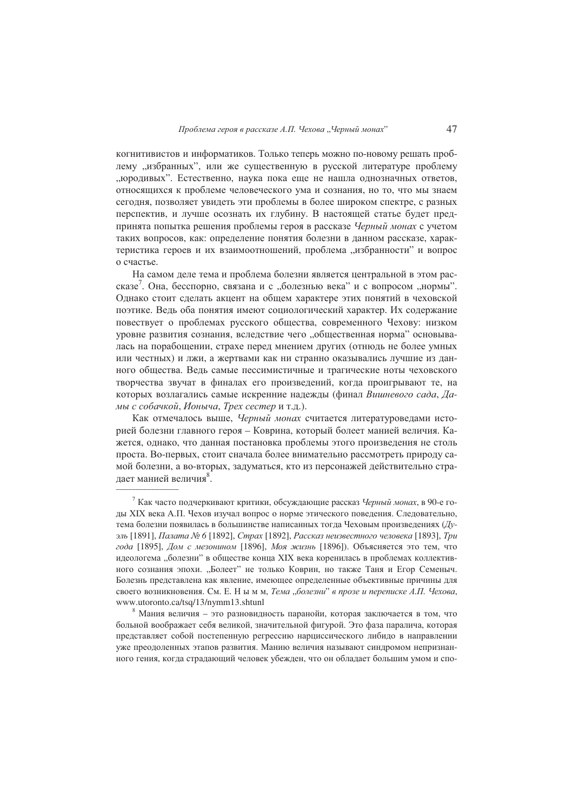когнитивистов и информатиков. Только теперь можно по-новому решать проблему "избранных", или же существенную в русской литературе проблему "юродивых". Естественно, наука пока еще не нашла однозначных ответов, относящихся к проблеме человеческого ума и сознания, но то, что мы знаем сегодня, позволяет увидеть эти проблемы в более широком спектре, с разных перспектив, и лучше осознать их глубину. В настоящей статье будет предпринята попытка решения проблемы героя в рассказе Черный монах с учетом таких вопросов, как: определение понятия болезни в данном рассказе, характеристика героев и их взаимоотношений, проблема "избранности" и вопрос о счастье.

На самом деле тема и проблема болезни является центральной в этом рассказе<sup>7</sup>. Она, бесспорно, связана и с "болезнью века" и с вопросом "нормы". Однако стоит сделать акцент на общем характере этих понятий в чеховской поэтике. Ведь оба понятия имеют социологический характер. Их содержание повествует о проблемах русского общества, современного Чехову: низком уровне развития сознания, вследствие чего "общественная норма" основывалась на порабощении, страхе перед мнением других (отнюдь не более умных или честных) и лжи, а жертвами как ни странно оказывались лучшие из данного общества. Ведь самые пессимистичные и трагические ноты чеховского творчества звучат в финалах его произведений, когда проигрывают те, на которых возлагались самые искренние надежды (финал Вишневого сада, Дамы с собачкой, Ионыча, Трех сестер и т.д.).

Как отмечалось выше. Черный монах считается литературоведами историей болезни главного героя – Коврина, который болеет манией величия. Кажется, однако, что данная постановка проблемы этого произведения не столь проста. Во-первых, стоит сначала более внимательно рассмотреть природу самой болезни, а во-вторых, задуматься, кто из персонажей действительно страдает манией величия<sup>8</sup>.

<sup>&</sup>lt;sup>7</sup> Как часто подчеркивают критики, обсуждающие рассказ Черный монах, в 90-е голы XIX века А.П. Чехов изучал вопрос о норме этического повеления. Следовательно, тема болезни появилась в большинстве написанных тогла Чеховым произвелениях ( $I_V$ эль [1891], Палата № 6 [1892], Страх [1892], Рассказ неизвестного человека [1893], Три года [1895], Дом с мезонином [1896], Моя жизнь [1896]). Объясняется это тем, что идеологема "болезни" в обществе конца XIX века коренилась в проблемах коллективного сознания эпохи. "Болеет" не только Коврин, но также Таня и Егор Семеныч. Болезнь представлена как явление, имеющее определенные объективные причины для своего возникновения. См. Е. Н ы м м, Тема "болезни" в прозе и переписке А.П. Чехова, www.utoronto.ca/tsq/13/nymm13.shtunl

 $8$  Мания величия - это разновидность паранойи, которая заключается в том, что больной воображает себя великой, значительной фигурой. Это фаза паралича, которая представляет собой постепенную регрессию нарциссического либидо в направлении уже преодоленных этапов развития. Манию величия называют синдромом непризнанного гения, когда страдающий человек убежден, что он обладает большим умом и спо-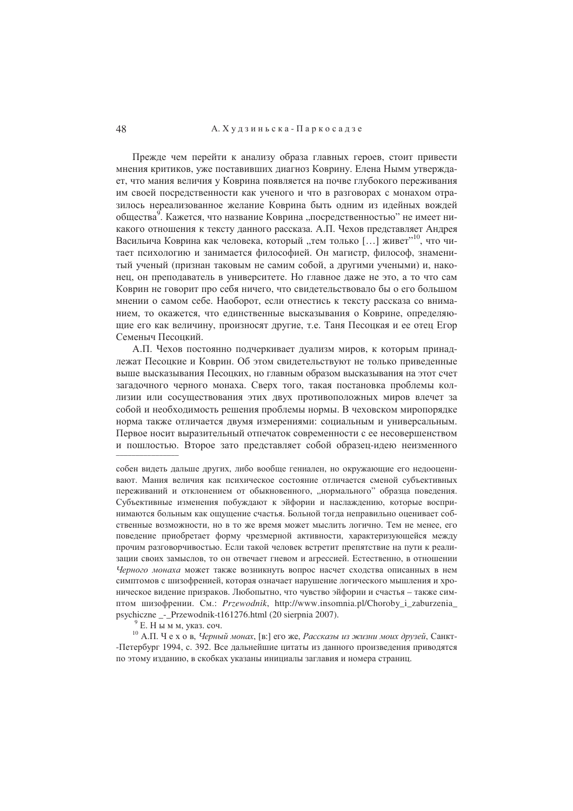## А. Худзиньска - Паркосадзе

Прежде чем перейти к анализу образа главных героев, стоит привести мнения критиков, уже поставивших диагноз Коврину. Елена Нымм утверждает, что мания величия у Коврина появляется на почве глубокого переживания им своей посредственности как ученого и что в разговорах с монахом отразилось нереализованное желание Коврина быть одним из идейных вождей общества<sup>9</sup>. Кажется, что название Коврина "посредственностью" не имеет никакого отношения к тексту данного рассказа. А.П. Чехов представляет Андрея Васильича Коврина как человека, который "тем только [...] живет"<sup>10</sup>, что читает психологию и занимается философией. Он магистр, философ, знаменитый ученый (признан таковым не самим собой, а лругими учеными) и, наконец, он преподаватель в университете. Но главное даже не это, а то что сам Коврин не говорит про себя ничего, что свидетельствовало бы о его большом мнении о самом себе. Наоборот, если отнестись к тексту рассказа со вниманием, то окажется, что единственные высказывания о Коврине, определяющие его как величину, произносят другие, т.е. Таня Песоцкая и ее отец Егор Семеныч Песоцкий.

А.П. Чехов постоянно подчеркивает дуализм миров, к которым принадлежат Песоцкие и Коврин. Об этом свидетельствуют не только приведенные выше высказывания Песоцких, но главным образом высказывания на этот счет загадочного черного монаха. Сверх того, такая постановка проблемы коллизии или сосуществования этих двух противоположных миров влечет за собой и необходимость решения проблемы нормы. В чеховском миропорядке норма также отличается двумя измерениями: социальным и универсальным. Первое носит выразительный отпечаток современности с ее несовершенством и пошлостью. Второе зато представляет собой образец-идею неизменного

собен видеть дальше других, либо вообще гениален, но окружающие его недооценивают. Мания величия как психическое состояние отличается сменой субъективных переживаний и отклонением от обыкновенного, "нормального" образца поведения. Субъективные изменения побуждают к эйфории и наслаждению, которые воспринимаются больным как ошушение счастья. Больной тогла неправильно оценивает собственные возможности, но в то же время может мыслить логично. Тем не менее, его поведение приобретает форму чрезмерной активности, характеризующейся между прочим разговорчивостью. Если такой человек встретит препятствие на пути к реализации своих замыслов, то он отвечает гневом и агрессией. Естественно, в отношении Черного монаха может также возникнуть вопрос насчет сходства описанных в нем симптомов с шизофренией, которая означает нарушение логического мышления и хроническое видение призраков. Любопытно, что чувство эйфории и счастья - также симптом шизофрении. См.: *Przewodnik*, http://www.insomnia.pl/Choroby i zaburzenia psychiczne - Przewodnik-t161276.html (20 sierpnia 2007).

 $9$  Е. Нымм, указ. соч.

10 А.П. Ч е х о в, Черный монах, [в:] его же, Рассказы из жизни моих друзей, Санкт--Петербург 1994, с. 392. Все дальнейшие цитаты из данного произведения приводятся по этому изданию, в скобках указаны инициалы заглавия и номера страниц.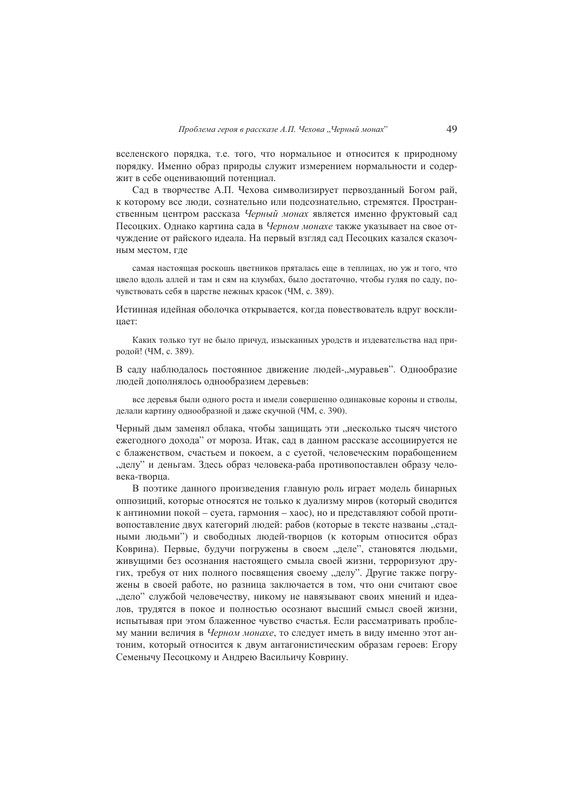вселенского порядка, т.е. того, что нормальное и относится к природному порядку. Именно образ природы служит измерением нормальности и содержит в себе оценивающий потенциал.

Сад в творчестве А.П. Чехова символизирует первозданный Богом рай, к которому все люди, сознательно или подсознательно, стремятся. Пространственным центром рассказа Черный монах является именно фруктовый сад Песоцких. Однако картина сада в Черном монахе также указывает на свое отчуждение от райского идеала. На первый взгляд сад Песоцких казался сказочным местом, гле

самая настоящая роскошь цветников пряталась еще в теплицах, но уж и того, что цвело вдоль аллей и там и сям на клумбах, было достаточно, чтобы гуляя по саду, почувствовать себя в царстве нежных красок (ЧМ, с. 389).

Истинная идейная оболочка открывается, когда повествователь вдруг восклинает:

Каких только тут не было причуд, изысканных уродств и издевательства над природой! (ЧМ, с. 389).

В саду наблюдалось постоянное движение людей-, муравьев". Однообразие людей дополнялось однообразием деревьев:

все деревья были одного роста и имели совершенно одинаковые короны и стволы, делали картину однообразной и даже скучной (ЧМ, с. 390).

Черный дым заменял облака, чтобы защищать эти "несколько тысяч чистого ежегодного дохода" от мороза. Итак, сад в данном рассказе ассоциируется не с блаженством, счастьем и покоем, а с суетой, человеческим порабощением "делу" и деньгам. Здесь образ человека-раба противопоставлен образу человека-творца.

В поэтике данного произведения главную роль играет модель бинарных оппозиций, которые относятся не только к дуализму миров (который сводится к антиномии покой - суета, гармония - хаос), но и представляют собой противопоставление двух категорий людей: рабов (которые в тексте названы "стадными людьми") и свободных людей-творцов (к которым относится образ Коврина). Первые, будучи погружены в своем "деле", становятся людьми, живущими без осознания настоящего смыла своей жизни, терроризуют других, требуя от них полного посвящения своему "делу". Другие также погружены в своей работе, но разница заключается в том, что они считают свое "дело" службой человечеству, никому не навязывают своих мнений и идеалов, трудятся в покое и полностью осознают высший смысл своей жизни, испытывая при этом блаженное чувство счастья. Если рассматривать проблему мании величия в Черном монахе, то следует иметь в виду именно этот антоним, который относится к двум антагонистическим образам героев: Егору Семенычу Песоцкому и Андрею Васильичу Коврину.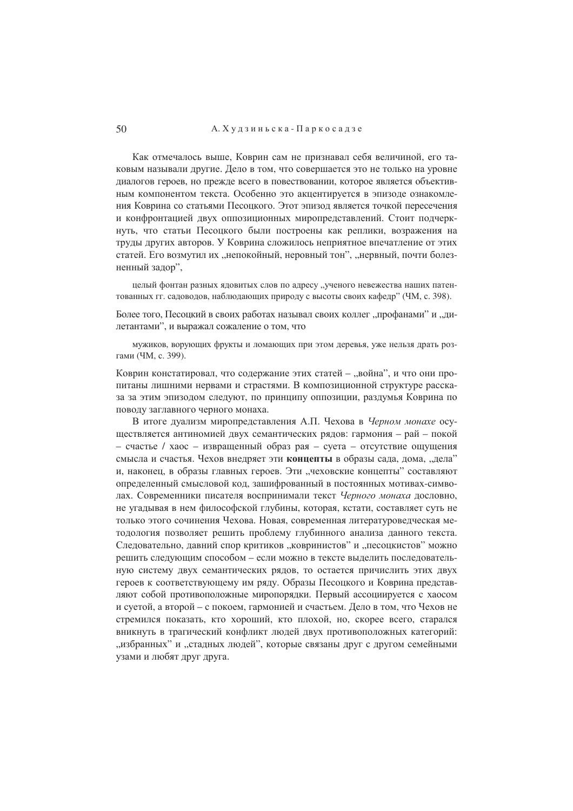## А. Худзиньска - Паркосадзе

Как отмечалось выше. Коврин сам не признавал себя величиной, его таковым называли другие. Дело в том, что совершается это не только на уровне диалогов героев, но прежде всего в повествовании, которое является объективным компонентом текста. Особенно это акцентируется в эпизоде ознакомления Коврина со статьями Песоцкого. Этот эпизод является точкой пересечения и конфронтацией двух оппозиционных миропредставлений. Стоит подчеркнуть, что статьи Песоцкого были построены как реплики, возражения на труды других авторов. У Коврина сложилось неприятное впечатление от этих статей. Его возмутил их "непокойный, неровный тон", "нервный, почти болезненный задор",

целый фонтан разных ядовитых слов по адресу "ученого невежества наших патентованных гг. садоводов, наблюдающих природу с высоты своих кафедр" (ЧМ, с. 398).

Более того, Песоцкий в своих работах называл своих коллег "профанами" и "дилетантами", и выражал сожаление о том, что

мужиков, ворующих фрукты и ломающих при этом деревья, уже нельзя драть розгами (ЧМ, с. 399).

Коврин констатировал, что содержание этих статей - "война", и что они пропитаны лишними нервами и страстями. В композиционной структуре рассказа за этим эпизодом следуют, по принципу оппозиции, раздумья Коврина по поводу заглавного черного монаха.

В итоге дуализм миропредставления А.П. Чехова в Черном монахе осуществляется антиномией двух семантических рядов: гармония - рай - покой - счастье / хаос - извращенный образ рая - суета - отсутствие ощущения смысла и счастья. Чехов внедряет эти концепты в образы сада, дома, "дела" и, наконец, в образы главных героев. Эти "чеховские концепты" составляют определенный смысловой код, зашифрованный в постоянных мотивах-символах. Современники писателя воспринимали текст Черного монаха дословно, не угадывая в нем философской глубины, которая, кстати, составляет суть не только этого сочинения Чехова. Новая, современная литературоведческая метолология позволяет решить проблему глубинного анализа ланного текста. Следовательно, давний спор критиков "ковринистов" и "песоцкистов" можно решить следующим способом - если можно в тексте выделить последовательную систему двух семантических рядов, то остается причислить этих двух героев к соответствующему им ряду. Образы Песоцкого и Коврина представляют собой противоположные миропорядки. Первый ассоциируется с хаосом и суетой, а второй – с покоем, гармонией и счастьем. Дело в том, что Чехов не стремился показать, кто хороший, кто плохой, но, скорее всего, старался вникнуть в трагический конфликт людей двух противоположных категорий: "избранных" и "стадных людей", которые связаны друг с другом семейными узами и любят друг друга.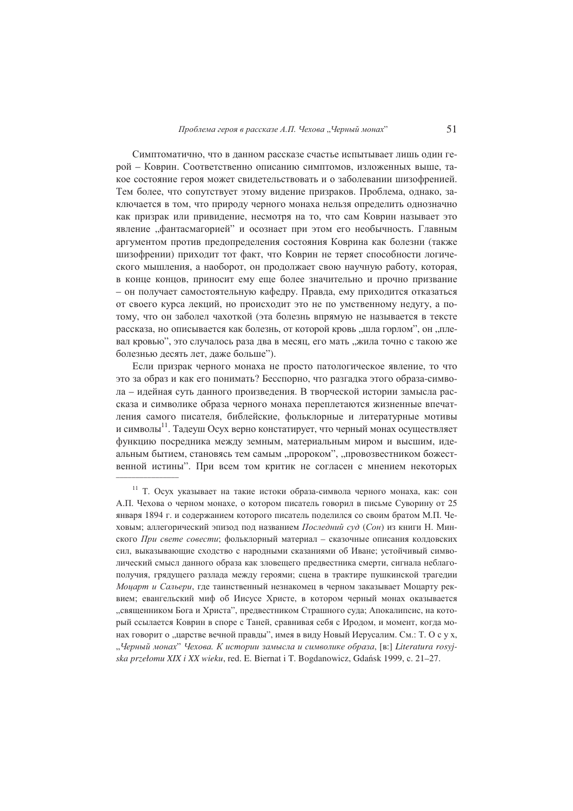Симптоматично, что в данном рассказе счастье испытывает лишь один герой - Коврин. Соответственно описанию симптомов, изложенных выше, такое состояние героя может свидетельствовать и о заболевании шизофренией. Тем более, что сопутствует этому видение призраков. Проблема, однако, заключается в том, что природу черного монаха нельзя определить однозначно как призрак или привидение, несмотря на то, что сам Коврин называет это явление "фантасмагорией" и осознает при этом его необычность. Главным аргументом против предопределения состояния Коврина как болезни (также шизофрении) приходит тот факт, что Коврин не теряет способности логического мышления, а наоборот, он продолжает свою научную работу, которая, в конце концов, приносит ему еще более значительно и прочно призвание – он получает самостоятельную кафелру. Правла, ему прихолится отказаться от своего курса лекций, но происходит это не по умственному недугу, а потому, что он заболел чахоткой (эта болезнь впрямую не называется в тексте рассказа, но описывается как болезнь, от которой кровь "шла горлом", он "плевал кровью", это случалось раза два в месяц, его мать "жила точно с такою же болезнью десять лет. даже больше").

Если призрак черного монаха не просто патологическое явление, то что это за образ и как его понимать? Бесспорно, что разгадка этого образа-символа - идейная суть данного произведения. В творческой истории замысла рассказа и символике образа черного монаха переплетаются жизненные впечатления самого писателя, библейские, фольклорные и литературные мотивы и символы<sup>11</sup>. Тадеуш Осух верно констатирует, что черный монах осуществляет функцию посредника между земным, материальным миром и высшим, идеальным бытием, становясь тем самым "пророком", "провозвестником божественной истины". При всем том критик не согласен с мнением некоторых

<sup>11</sup> Т. Осух указывает на такие истоки образа-символа черного монаха, как: сон А.П. Чехова о черном монахе, о котором писатель говорил в письме Суворину от 25 января 1894 г. и содержанием которого писатель поделился со своим братом М.П. Чеховым: аллегорический эпизол пол названием Последний суд (Сон) из книги Н. Минского При свете совести; фольклорный материал - сказочные описания колдовских сил, выказывающие сходство с народными сказаниями об Иване; устойчивый символический смысл данного образа как зловещего предвестника смерти, сигнала неблагополучия, грядущего разлада между героями; сцена в трактире пушкинской трагедии Моиарт и Сальери, где таинственный незнакомец в черном заказывает Моцарту реквием; евангельский миф об Иисусе Христе, в котором черный монах оказывается "священником Бога и Христа", предвестником Страшного суда; Апокалипсис, на который ссылается Коврин в споре с Таней, сравнивая себя с Иродом, и момент, когда монах говорит о "царстве вечной правды", имея в виду Новый Иерусалим. См.: Т. О с у х, "Черный монах" Чехова. К истории замысла и символике образа, [в:] Literatura rosyjska przełomu XIX i XX wieku, red. E. Biernat i T. Bogdanowicz, Gdańsk 1999, c. 21-27.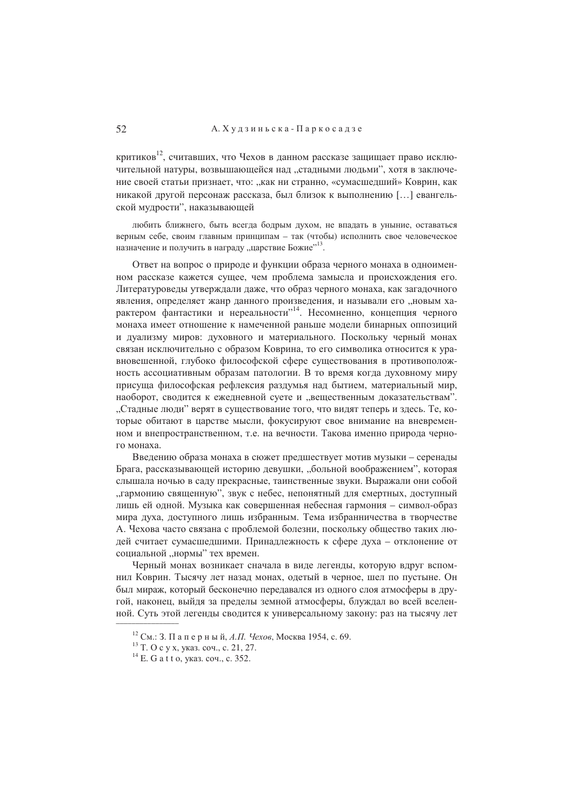## А. Худзиньска - Паркосадзе

критиков<sup>12</sup>, считавших, что Чехов в данном рассказе защищает право исключительной натуры, возвышающейся над "стадными людьми", хотя в заключение своей статьи признает, что: "как ни странно, «сумасшедший» Коврин, как никакой другой персонаж рассказа, был близок к выполнению [...] евангельской мулрости", наказывающей

любить ближнего, быть всегда бодрым духом, не впадать в уныние, оставаться верным себе, своим главным принципам - так (чтобы) исполнить свое человеческое назначение и получить в награду "царствие Божие"<sup>13</sup>.

Ответ на вопрос о природе и функции образа черного монаха в одноименном рассказе кажется сущее, чем проблема замысла и происхождения его. Литературоведы утверждали даже, что образ черного монаха, как загадочного явления, определяет жанр данного произведения, и называли его "новым характером фантастики и нереальности", Несомненно, концепция черного монаха имеет отношение к намеченной раньше молели бинарных оппозиций и дуализму миров: духовного и материального. Поскольку черный монах связан исключительно с образом Коврина, то его символика относится к уравновешенной, глубоко философской сфере существования в противоположность ассоциативным образам патологии. В то время когда духовному миру присуща философская рефлексия раздумья над бытием, материальный мир, наоборот, сводится к ежедневной суете и "вещественным доказательствам". "Стадные люди" верят в существование того, что видят теперь и здесь. Те, которые обитают в царстве мысли, фокусируют свое внимание на вневременном и внепространственном, т.е. на вечности. Такова именно природа черного монаха.

Введению образа монаха в сюжет предшествует мотив музыки - серенады Брага, рассказывающей историю девушки, "больной воображением", которая слышала ночью в салу прекрасные, таинственные звуки. Выражали они собой "гармонию священную", звук с небес, непонятный для смертных, доступный лишь ей одной. Музыка как совершенная небесная гармония - символ-образ мира духа, доступного лишь избранным. Тема избранничества в творчестве А. Чехова часто связана с проблемой болезни, поскольку общество таких людей считает сумасшедшими. Принадлежность к сфере духа - отклонение от социальной "нормы" тех времен.

Черный монах возникает сначала в виде легенды, которую вдруг вспомнил Коврин. Тысячу лет назад монах, одетый в черное, шел по пустыне. Он был мираж, который бесконечно передавался из одного слоя атмосферы в другой, наконец, выйдя за пределы земной атмосферы, блуждал во всей вселенной. Суть этой легенды сводится к универсальному закону: раз на тысячу лет

<sup>&</sup>lt;sup>12</sup> См.: 3. Паперный, *А.П. Чехов*, Москва 1954, с. 69.

<sup>&</sup>lt;sup>13</sup> Т. О с у х, указ. соч., с. 21, 27.

 $14$  E. G a t t o, ykas. cou., c. 352.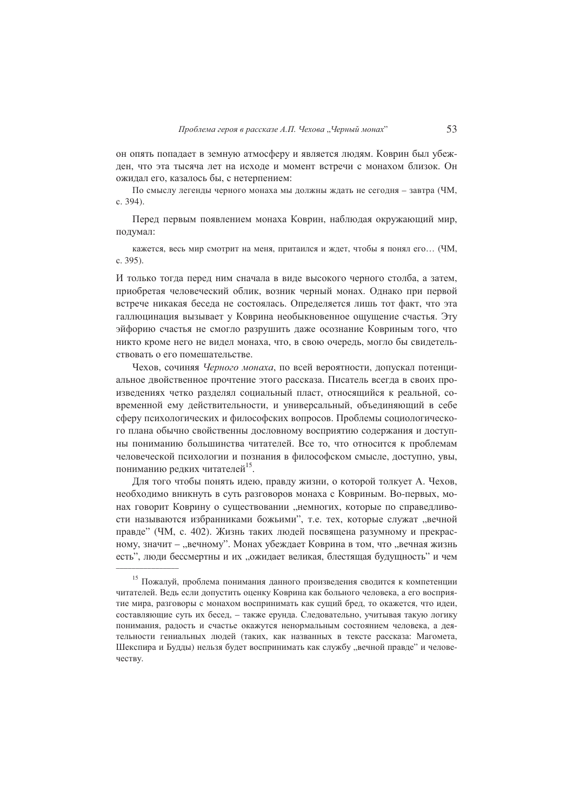он опять попадает в земную атмосферу и является людям. Коврин был убежлен, что эта тысяча лет на исхоле и момент встречи с монахом близок. Он ожидал его, казалось бы, с нетерпением:

По смыслу легенды черного монаха мы должны ждать не сегодня - завтра (ЧМ. c. 394).

Перед первым появлением монаха Коврин, наблюдая окружающий мир, подумал:

кажется, весь мир смотрит на меня, притаился и ждет, чтобы я понял его... (ЧМ, c. 395).

И только тогда перед ним сначала в виде высокого черного столба, а затем, приобретая человеческий облик, возник черный монах. Однако при первой встрече никакая беседа не состоялась. Определяется лишь тот факт, что эта галлюцинация вызывает у Коврина необыкновенное ощущение счастья. Эту эйфорию счастья не смогло разрушить даже осознание Ковриным того, что никто кроме него не видел монаха, что, в свою очередь, могло бы свидетельствовать о его помешательстве.

Чехов, сочиняя Черного монаха, по всей вероятности, допускал потенциальное двойственное прочтение этого рассказа. Писатель всегда в своих произведениях четко разделял социальный пласт, относящийся к реальной, современной ему действительности, и универсальный, объединяющий в себе сферу психологических и философских вопросов. Проблемы социологического плана обычно свойственны дословному восприятию содержания и доступны пониманию большинства читателей. Все то, что относится к проблемам человеческой психологии и познания в философском смысле, доступно, увы, пониманию редких читателей<sup>15</sup>.

Для того чтобы понять идею, правду жизни, о которой толкует А. Чехов, необходимо вникнуть в суть разговоров монаха с Ковриным. Во-первых, монах говорит Коврину о существовании "немногих, которые по справедливости называются избранниками божьими", т.е. тех, которые служат "вечной правде" (ЧМ, с. 402). Жизнь таких людей посвящена разумному и прекрасному, значит - "вечному". Монах убеждает Коврина в том, что "вечная жизнь есть", люди бессмертны и их "ожидает великая, блестящая будущность" и чем

<sup>15</sup> Пожалуй, проблема понимания данного произведения сводится к компетенции читателей. Ведь если допустить оценку Коврина как больного человека, а его восприятие мира, разговоры с монахом воспринимать как сущий бред, то окажется, что идеи, составляющие суть их бесед, - также ерунда. Следовательно, учитывая такую логику понимания, радость и счастье окажутся ненормальным состоянием человека, а деятельности гениальных людей (таких, как названных в тексте рассказа: Магомета, Шекспира и Будды) нельзя будет воспринимать как службу "вечной правде" и человечеству.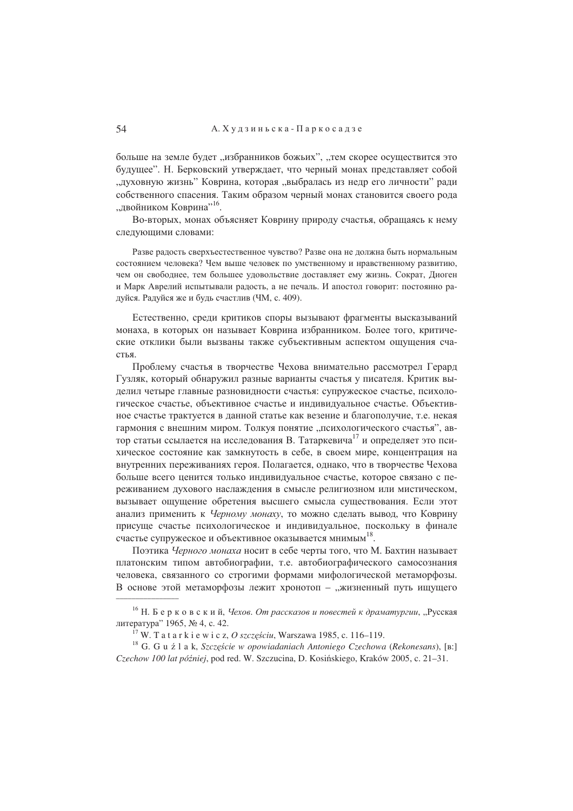больше на земле будет "избранников божьих", "тем скорее осуществится это будущее". Н. Берковский утверждает, что черный монах представляет собой "духовную жизнь" Коврина, которая "выбралась из недр его личности" ради собственного спасения. Таким образом черный монах становится своего рода "лвойником Коврина"<sup>16</sup>.

Во-вторых, монах объясняет Коврину природу счастья, обращаясь к нему следующими словами:

Разве радость сверхъестественное чувство? Разве она не должна быть нормальным состоянием человека? Чем выше человек по умственному и нравственному развитию, чем он свободнее, тем большее удовольствие доставляет ему жизнь. Сократ, Диоген и Марк Аврелий испытывали радость, а не печаль. И апостол говорит: постоянно радуйся. Радуйся же и будь счастлив (ЧМ, с. 409).

Естественно, среди критиков споры вызывают фрагменты высказываний монаха, в которых он называет Коврина избранником. Более того, критические отклики были вызваны также субъективным аспектом ощущения счастья.

Проблему счастья в творчестве Чехова внимательно рассмотрел Герард Гузляк, который обнаружил разные варианты счастья у писателя. Критик выделил четыре главные разновидности счастья: супружеское счастье, психологическое счастье, объективное счастье и индивидуальное счастье. Объективное счастье трактуется в данной статье как везение и благополучие, т.е. некая гармония с внешним миром. Толкуя понятие "психологического счастья", автор статьи ссылается на исследования В. Татаркевича<sup>17</sup> и определяет это психическое состояние как замкнутость в себе, в своем мире, концентрация на внутренних переживаниях героя. Полагается, однако, что в творчестве Чехова больше всего ценится только индивидуальное счастье, которое связано с переживанием духового наслаждения в смысле религиозном или мистическом, вызывает ощущение обретения высшего смысла существования. Если этот анализ применить к Черному монаху, то можно сделать вывод, что Коврину присуще счастье психологическое и индивидуальное, поскольку в финале счастье супружеское и объективное оказывается мнимым<sup>18</sup>.

Поэтика Черного монаха носит в себе черты того, что М. Бахтин называет платонским типом автобиографии, т.е. автобиографического самосознания человека, связанного со строгими формами мифологической метаморфозы. В основе этой метаморфозы лежит хронотоп - "жизненный путь ищущего

<sup>&</sup>lt;sup>16</sup> Н. Берковский, Чехов. От рассказов и повестей к драматургии, "Русская литература" 1965, № 4, с. 42.

<sup>&</sup>lt;sup>17</sup> W. T a t a r k i e w i c z, O szczęściu, Warszawa 1985, c. 116–119.

<sup>&</sup>lt;sup>18</sup> G. G u ź l a k, Szczęście w opowiadaniach Antoniego Czechowa (Rekonesans), [B:] Czechow 100 lat później, pod red. W. Szczucina, D. Kosińskiego, Kraków 2005, c. 21-31.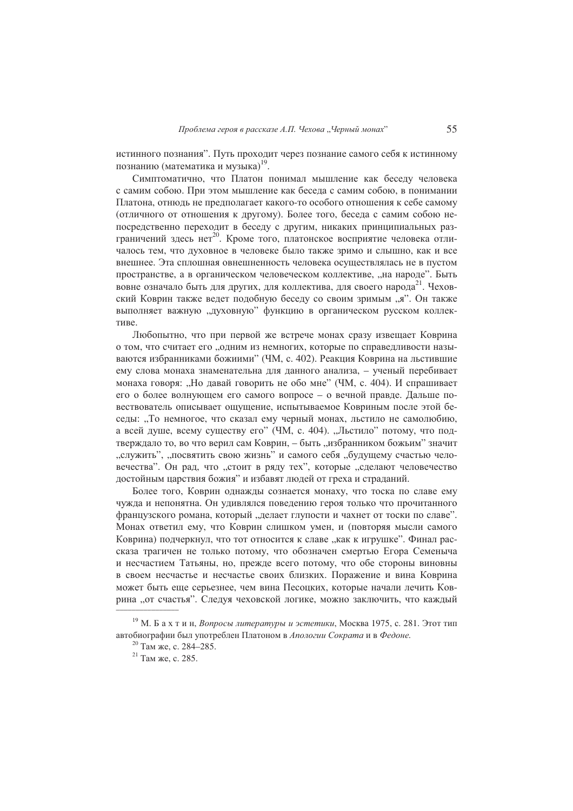истинного познания". Путь проходит через познание самого себя к истинному познанию (математика и музыка)<sup>19</sup>.

Симптоматично, что Платон понимал мышление как беселу человека с самим собою. При этом мышление как беседа с самим собою, в понимании Платона, отнюдь не предполагает какого-то особого отношения к себе самому (отличного от отношения к другому). Более того, беседа с самим собою непосредственно переходит в беседу с другим, никаких принципиальных разграничений здесь нет<sup>20</sup>. Кроме того, платонское восприятие человека отличалось тем, что духовное в человеке было также зримо и слышно, как и все внешнее. Эта сплошная овнешненность человека осуществлялась не в пустом пространстве, а в органическом человеческом коллективе, "на народе". Быть вовне означало быть для других, для коллектива, для своего народа<sup>21</sup>. Чеховский Коврин также ведет подобную беседу со своим зримым "я". Он также выполняет важную "духовную" функцию в органическом русском коллективе.

Любопытно, что при первой же встрече монах сразу извещает Коврина о том, что считает его "одним из немногих, которые по справедливости называются избранниками божиими" (ЧМ, с. 402). Реакция Коврина на льстившие ему слова монаха знаменательна для данного анализа, - ученый перебивает монаха говоря: "Но давай говорить не обо мне" (ЧМ, с. 404). И спрашивает его о более волнующем его самого вопросе - о вечной правде. Дальше повествователь описывает ощущение, испытываемое Ковриным после этой беселы: "То немногое, что сказал ему черный монах, льстило не самолюбию, а всей душе, всему существу его" (ЧМ, с. 404). "Льстило" потому, что подтверждало то, во что верил сам Коврин, - быть "избранником божьим" значит "служить", "посвятить свою жизнь" и самого себя "будущему счастью человечества". Он рад, что "стоит в ряду тех", которые "сделают человечество достойным царствия божия" и избавят людей от греха и страданий.

Более того. Коврин однажды сознается монаху, что тоска по славе ему чужла и непонятна. Он уливлялся повелению героя только что прочитанного французского романа, который "делает глупости и чахнет от тоски по славе". Монах ответил ему, что Коврин слишком умен, и (повторяя мысли самого Коврина) подчеркнул, что тот относится к славе "как к игрушке". Финал рассказа трагичен не только потому, что обозначен смертью Егора Семеныча и несчастием Татьяны, но, прежде всего потому, что обе стороны виновны в своем несчастье и несчастье своих близких. Поражение и вина Коврина может быть еще серьезнее, чем вина Песоцких, которые начали лечить Коврина "от счастья". Следуя чеховской логике, можно заключить, что каждый

<sup>&</sup>lt;sup>19</sup> М. Бахтин, Вопросы литературы и эстетики, Москва 1975, с. 281. Этот тип автобиографии был употреблен Платоном в Апологии Сократа и в Федоне.

<sup>&</sup>lt;sup>20</sup> Там же, с. 284-285.

<sup>&</sup>lt;sup>21</sup> Там же, с. 285.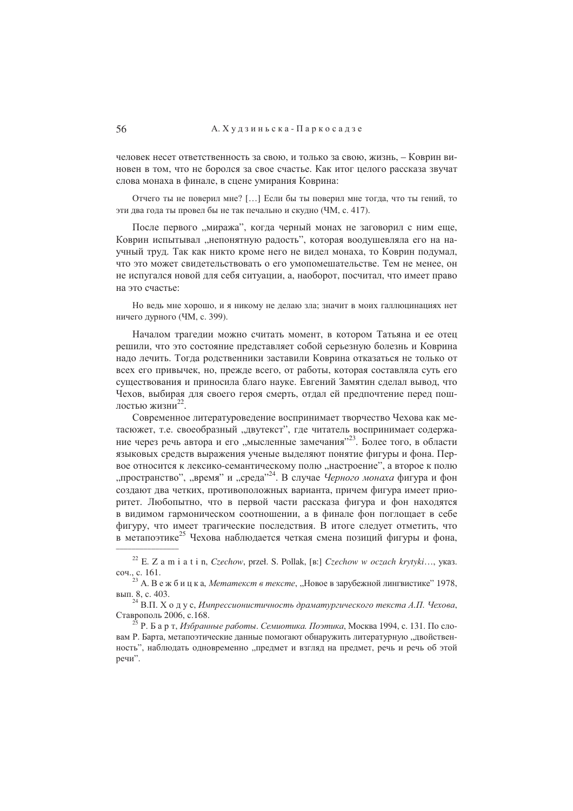человек несет ответственность за свою, и только за свою, жизнь, - Коврин виновен в том, что не боролся за свое счастье. Как итог целого рассказа звучат слова монаха в финале, в сцене умирания Коврина:

Отчего ты не поверил мне? [...] Если бы ты поверил мне тогда, что ты гений, то эти два года ты провел бы не так печально и скудно (ЧМ, с. 417).

После первого "миража", когда черный монах не заговорил с ним еще, Коврин испытывал "непонятную радость", которая воодушевляла его на научный труд. Так как никто кроме него не видел монаха, то Коврин подумал, что это может свидетельствовать о его умопомешательстве. Тем не менее, он не испугался новой для себя ситуации, а, наоборот, посчитал, что имеет право на это счастье:

Но ведь мне хорошо, и я никому не делаю зла; значит в моих галлюцинациях нет ничего дурного (ЧМ, с. 399).

Началом трагелии можно считать момент, в котором Татьяна и ее отец решили, что это состояние представляет собой серьезную болезнь и Коврина надо лечить. Тогда родственники заставили Коврина отказаться не только от всех его привычек, но, прежде всего, от работы, которая составляла суть его существования и приносила благо науке. Евгений Замятин сделал вывод, что Чехов, выбирая для своего героя смерть, отдал ей предпочтение перед пошлостью жизни<sup>22</sup>.

Современное литературоведение воспринимает творчество Чехова как метасюжет, т.е. своеобразный "двутекст", где читатель воспринимает содержание через речь автора и его "мысленные замечания"<sup>23</sup>. Более того, в области языковых средств выражения ученые выделяют понятие фигуры и фона. Первое относится к лексико-семантическому полю "настроение", а второе к полю "пространство", "время" и "среда"<sup>24</sup>. В случае Черного монаха фигура и фон создают два четких, противоположных варианта, причем фигура имеет приоритет. Любопытно, что в первой части рассказа фигура и фон находятся в видимом гармоническом соотношении, а в финале фон поглощает в себе фигуру, что имеет трагические последствия. В итоге следует отметить, что в метапоэтике<sup>25</sup> Чехова наблюдается четкая смена позиций фигуры и фона.

<sup>&</sup>lt;sup>22</sup> E. Z a m i a t i n, Czechow, przeł. S. Pollak, [B:] Czechow w oczach krytyki..., ykas. соч., с. 161.

<sup>&</sup>lt;sup>23</sup> А. В е ж б и ц к а, *Метатекст в тексте*, "Новое в зарубежной лингвистике" 1978, вып. 8, с. 403.

<sup>&</sup>lt;sup>24</sup> В.П. Х о д у с, Импрессионистичность драматургического текста А.П. Чехова, Ставрополь 2006, с.168.

 $^{25}$  Р. Б а р т, *Избранные работы. Семиотика. Поэтика*, Москва 1994, с. 131. По словам Р. Барта, метапоэтические данные помогают обнаружить литературную "двойственность", наблюдать одновременно "предмет и взгляд на предмет, речь и речь об этой речи".